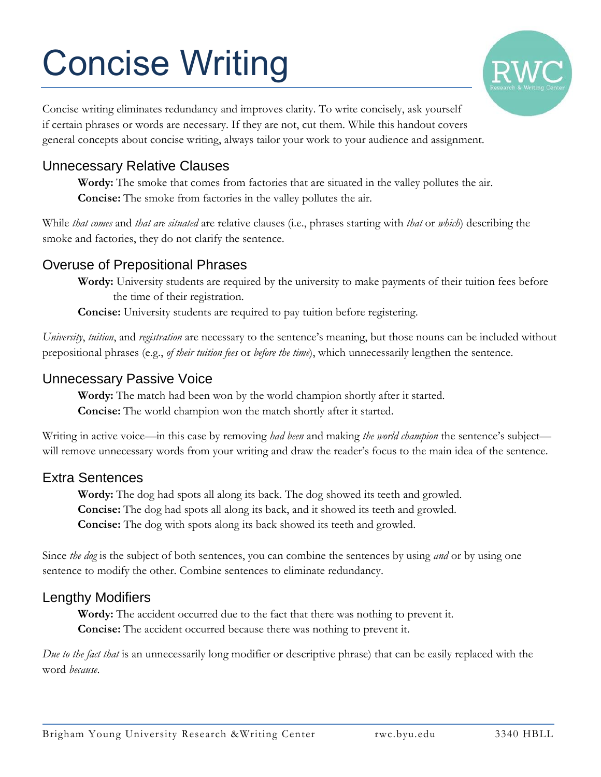# Concise Writing



Concise writing eliminates redundancy and improves clarity. To write concisely, ask yourself if certain phrases or words are necessary. If they are not, cut them. While this handout covers general concepts about concise writing, always tailor your work to your audience and assignment.

## Unnecessary Relative Clauses

**Wordy:** The smoke that comes from factories that are situated in the valley pollutes the air. **Concise:** The smoke from factories in the valley pollutes the air.

While *that comes* and *that are situated* are relative clauses (i.e., phrases starting with *that* or *which*) describing the smoke and factories, they do not clarify the sentence.

## Overuse of Prepositional Phrases

**Wordy:** University students are required by the university to make payments of their tuition fees before the time of their registration.

**Concise:** University students are required to pay tuition before registering.

*University*, *tuition*, and *registration* are necessary to the sentence's meaning, but those nouns can be included without prepositional phrases (e.g., *of their tuition fees* or *before the time*), which unnecessarily lengthen the sentence.

#### Unnecessary Passive Voice

**Wordy:** The match had been won by the world champion shortly after it started. **Concise:** The world champion won the match shortly after it started.

Writing in active voice—in this case by removing *had been* and making *the world champion* the sentence's subject will remove unnecessary words from your writing and draw the reader's focus to the main idea of the sentence.

## Extra Sentences

**Wordy:** The dog had spots all along its back. The dog showed its teeth and growled. **Concise:** The dog had spots all along its back, and it showed its teeth and growled. **Concise:** The dog with spots along its back showed its teeth and growled.

Since *the dog* is the subject of both sentences, you can combine the sentences by using *and* or by using one sentence to modify the other. Combine sentences to eliminate redundancy.

#### Lengthy Modifiers

**Wordy:** The accident occurred due to the fact that there was nothing to prevent it. **Concise:** The accident occurred because there was nothing to prevent it.

*Due to the fact that* is an unnecessarily long modifier or descriptive phrase) that can be easily replaced with the word *because*.